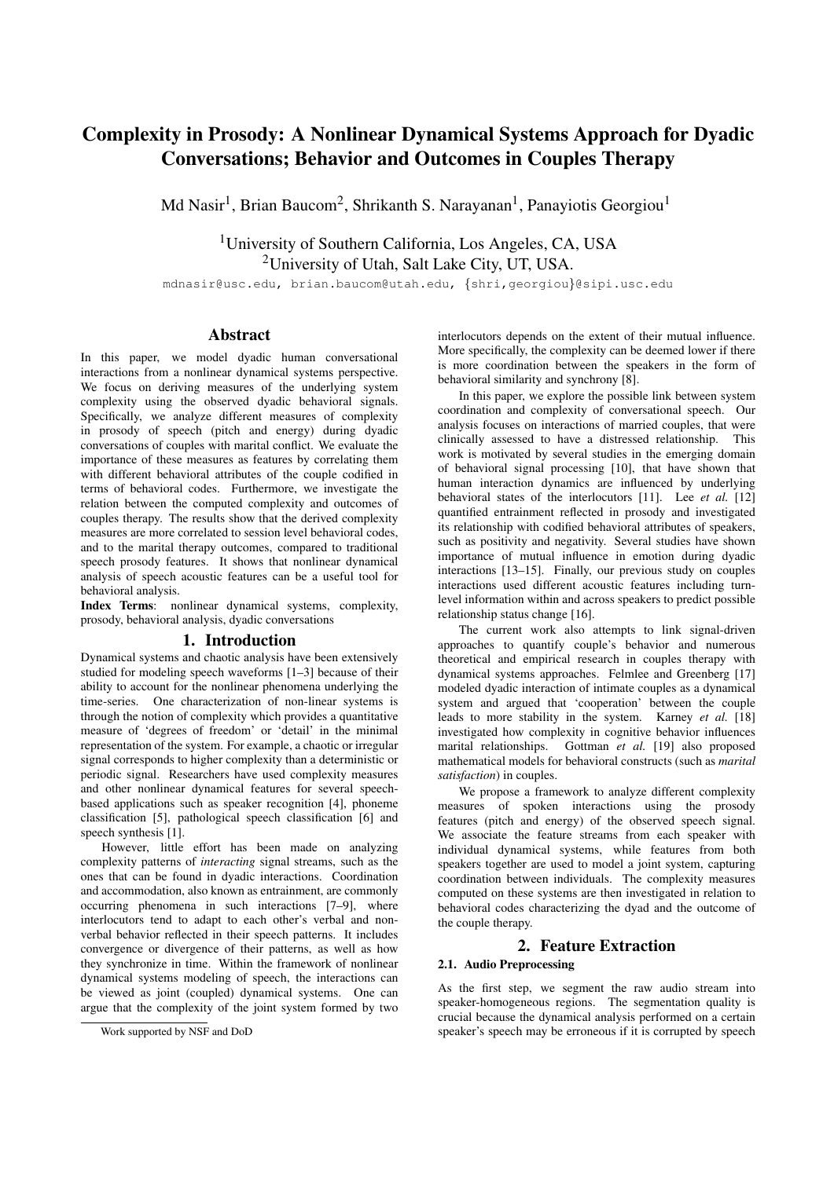# Complexity in Prosody: A Nonlinear Dynamical Systems Approach for Dyadic Conversations; Behavior and Outcomes in Couples Therapy

Md Nasir<sup>1</sup>, Brian Baucom<sup>2</sup>, Shrikanth S. Narayanan<sup>1</sup>, Panayiotis Georgiou<sup>1</sup>

<sup>1</sup>University of Southern California, Los Angeles, CA, USA <sup>2</sup>University of Utah, Salt Lake City, UT, USA.

mdnasir@usc.edu, brian.baucom@utah.edu, {shri,georgiou}@sipi.usc.edu

## Abstract

In this paper, we model dyadic human conversational interactions from a nonlinear dynamical systems perspective. We focus on deriving measures of the underlying system complexity using the observed dyadic behavioral signals. Specifically, we analyze different measures of complexity in prosody of speech (pitch and energy) during dyadic conversations of couples with marital conflict. We evaluate the importance of these measures as features by correlating them with different behavioral attributes of the couple codified in terms of behavioral codes. Furthermore, we investigate the relation between the computed complexity and outcomes of couples therapy. The results show that the derived complexity measures are more correlated to session level behavioral codes, and to the marital therapy outcomes, compared to traditional speech prosody features. It shows that nonlinear dynamical analysis of speech acoustic features can be a useful tool for behavioral analysis.

Index Terms: nonlinear dynamical systems, complexity, prosody, behavioral analysis, dyadic conversations

# 1. Introduction

Dynamical systems and chaotic analysis have been extensively studied for modeling speech waveforms [1–3] because of their ability to account for the nonlinear phenomena underlying the time-series. One characterization of non-linear systems is through the notion of complexity which provides a quantitative measure of 'degrees of freedom' or 'detail' in the minimal representation of the system. For example, a chaotic or irregular signal corresponds to higher complexity than a deterministic or periodic signal. Researchers have used complexity measures and other nonlinear dynamical features for several speechbased applications such as speaker recognition [4], phoneme classification [5], pathological speech classification [6] and speech synthesis [1].

However, little effort has been made on analyzing complexity patterns of *interacting* signal streams, such as the ones that can be found in dyadic interactions. Coordination and accommodation, also known as entrainment, are commonly occurring phenomena in such interactions [7–9], where interlocutors tend to adapt to each other's verbal and nonverbal behavior reflected in their speech patterns. It includes convergence or divergence of their patterns, as well as how they synchronize in time. Within the framework of nonlinear dynamical systems modeling of speech, the interactions can be viewed as joint (coupled) dynamical systems. One can argue that the complexity of the joint system formed by two

interlocutors depends on the extent of their mutual influence. More specifically, the complexity can be deemed lower if there is more coordination between the speakers in the form of behavioral similarity and synchrony [8].

In this paper, we explore the possible link between system coordination and complexity of conversational speech. Our analysis focuses on interactions of married couples, that were clinically assessed to have a distressed relationship. This work is motivated by several studies in the emerging domain of behavioral signal processing [10], that have shown that human interaction dynamics are influenced by underlying behavioral states of the interlocutors [11]. Lee *et al.* [12] quantified entrainment reflected in prosody and investigated its relationship with codified behavioral attributes of speakers, such as positivity and negativity. Several studies have shown importance of mutual influence in emotion during dyadic interactions [13–15]. Finally, our previous study on couples interactions used different acoustic features including turnlevel information within and across speakers to predict possible relationship status change [16].

The current work also attempts to link signal-driven approaches to quantify couple's behavior and numerous theoretical and empirical research in couples therapy with dynamical systems approaches. Felmlee and Greenberg [17] modeled dyadic interaction of intimate couples as a dynamical system and argued that 'cooperation' between the couple leads to more stability in the system. Karney *et al.* [18] investigated how complexity in cognitive behavior influences marital relationships. Gottman *et al.* [19] also proposed mathematical models for behavioral constructs (such as *marital satisfaction*) in couples.

We propose a framework to analyze different complexity measures of spoken interactions using the prosody features (pitch and energy) of the observed speech signal. We associate the feature streams from each speaker with individual dynamical systems, while features from both speakers together are used to model a joint system, capturing coordination between individuals. The complexity measures computed on these systems are then investigated in relation to behavioral codes characterizing the dyad and the outcome of the couple therapy.

### 2. Feature Extraction

#### 2.1. Audio Preprocessing

As the first step, we segment the raw audio stream into speaker-homogeneous regions. The segmentation quality is crucial because the dynamical analysis performed on a certain speaker's speech may be erroneous if it is corrupted by speech

Work supported by NSF and DoD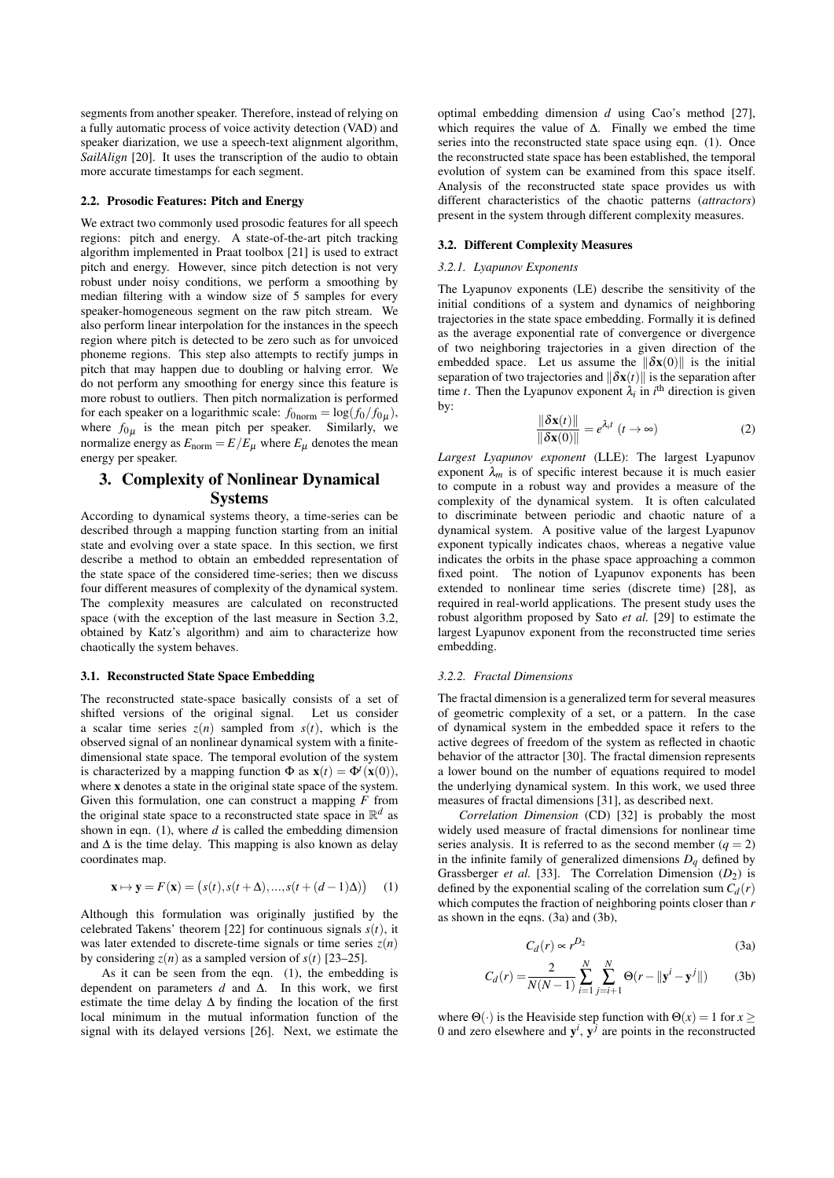segments from another speaker. Therefore, instead of relying on a fully automatic process of voice activity detection (VAD) and speaker diarization, we use a speech-text alignment algorithm, *SailAlign* [20]. It uses the transcription of the audio to obtain more accurate timestamps for each segment.

#### 2.2. Prosodic Features: Pitch and Energy

We extract two commonly used prosodic features for all speech regions: pitch and energy. A state-of-the-art pitch tracking algorithm implemented in Praat toolbox [21] is used to extract pitch and energy. However, since pitch detection is not very robust under noisy conditions, we perform a smoothing by median filtering with a window size of 5 samples for every speaker-homogeneous segment on the raw pitch stream. We also perform linear interpolation for the instances in the speech region where pitch is detected to be zero such as for unvoiced phoneme regions. This step also attempts to rectify jumps in pitch that may happen due to doubling or halving error. We do not perform any smoothing for energy since this feature is more robust to outliers. Then pitch normalization is performed for each speaker on a logarithmic scale:  $f_{0\text{ norm}} = \log(f_0/f_{0\mu})$ , where  $f_{0\mu}$  is the mean pitch per speaker. Similarly, we normalize energy as  $E_{\text{norm}} = E/E_{\mu}$  where  $E_{\mu}$  denotes the mean energy per speaker.

# 3. Complexity of Nonlinear Dynamical **Systems**

According to dynamical systems theory, a time-series can be described through a mapping function starting from an initial state and evolving over a state space. In this section, we first describe a method to obtain an embedded representation of the state space of the considered time-series; then we discuss four different measures of complexity of the dynamical system. The complexity measures are calculated on reconstructed space (with the exception of the last measure in Section 3.2, obtained by Katz's algorithm) and aim to characterize how chaotically the system behaves.

#### 3.1. Reconstructed State Space Embedding

The reconstructed state-space basically consists of a set of shifted versions of the original signal. Let us consider a scalar time series  $z(n)$  sampled from  $s(t)$ , which is the observed signal of an nonlinear dynamical system with a finitedimensional state space. The temporal evolution of the system is characterized by a mapping function  $\Phi$  as  $\mathbf{x}(t) = \Phi^t(\mathbf{x}(0))$ , where x denotes a state in the original state space of the system. Given this formulation, one can construct a mapping *F* from the original state space to a reconstructed state space in  $\mathbb{R}^d$  as shown in eqn. (1), where *d* is called the embedding dimension and  $\Delta$  is the time delay. This mapping is also known as delay coordinates map.

$$
\mathbf{x} \mapsto \mathbf{y} = F(\mathbf{x}) = (s(t), s(t + \Delta), ..., s(t + (d - 1)\Delta)) \tag{1}
$$

Although this formulation was originally justified by the celebrated Takens' theorem [22] for continuous signals  $s(t)$ , it was later extended to discrete-time signals or time series  $z(n)$ by considering  $z(n)$  as a sampled version of  $s(t)$  [23–25].

As it can be seen from the eqn. (1), the embedding is dependent on parameters *d* and ∆. In this work, we first estimate the time delay  $\Delta$  by finding the location of the first local minimum in the mutual information function of the signal with its delayed versions [26]. Next, we estimate the

optimal embedding dimension *d* using Cao's method [27], which requires the value of ∆. Finally we embed the time series into the reconstructed state space using eqn. (1). Once the reconstructed state space has been established, the temporal evolution of system can be examined from this space itself. Analysis of the reconstructed state space provides us with different characteristics of the chaotic patterns (*attractors*) present in the system through different complexity measures.

### 3.2. Different Complexity Measures

#### *3.2.1. Lyapunov Exponents*

The Lyapunov exponents (LE) describe the sensitivity of the initial conditions of a system and dynamics of neighboring trajectories in the state space embedding. Formally it is defined as the average exponential rate of convergence or divergence of two neighboring trajectories in a given direction of the embedded space. Let us assume the  $\|\delta x(0)\|$  is the initial separation of two trajectories and  $\|\delta x(t)\|$  is the separation after time *t*. Then the Lyapunov exponent  $\lambda_i$  in *i*<sup>th</sup> direction is given by:

$$
\frac{\|\delta \mathbf{x}(t)\|}{\|\delta \mathbf{x}(0)\|} = e^{\lambda_i t} \ (t \to \infty)
$$
 (2)

*Largest Lyapunov exponent* (LLE): The largest Lyapunov exponent  $\lambda_m$  is of specific interest because it is much easier to compute in a robust way and provides a measure of the complexity of the dynamical system. It is often calculated to discriminate between periodic and chaotic nature of a dynamical system. A positive value of the largest Lyapunov exponent typically indicates chaos, whereas a negative value indicates the orbits in the phase space approaching a common fixed point. The notion of Lyapunov exponents has been extended to nonlinear time series (discrete time) [28], as required in real-world applications. The present study uses the robust algorithm proposed by Sato *et al.* [29] to estimate the largest Lyapunov exponent from the reconstructed time series embedding.

#### *3.2.2. Fractal Dimensions*

The fractal dimension is a generalized term for several measures of geometric complexity of a set, or a pattern. In the case of dynamical system in the embedded space it refers to the active degrees of freedom of the system as reflected in chaotic behavior of the attractor [30]. The fractal dimension represents a lower bound on the number of equations required to model the underlying dynamical system. In this work, we used three measures of fractal dimensions [31], as described next.

*Correlation Dimension* (CD) [32] is probably the most widely used measure of fractal dimensions for nonlinear time series analysis. It is referred to as the second member  $(q = 2)$ in the infinite family of generalized dimensions  $D_q$  defined by Grassberger *et al.* [33]. The Correlation Dimension ( $D_2$ ) is defined by the exponential scaling of the correlation sum  $C_d(r)$ which computes the fraction of neighboring points closer than *r* as shown in the eqns. (3a) and (3b),

$$
C_d(r) \propto r^{D_2} \tag{3a}
$$

$$
C_d(r) = \frac{2}{N(N-1)} \sum_{i=1}^{N} \sum_{j=i+1}^{N} \Theta(r - ||\mathbf{y}^i - \mathbf{y}^j||)
$$
 (3b)

where  $\Theta(\cdot)$  is the Heaviside step function with  $\Theta(x) = 1$  for  $x >$ 0 and zero elsewhere and  $y^i$ ,  $y^j$  are points in the reconstructed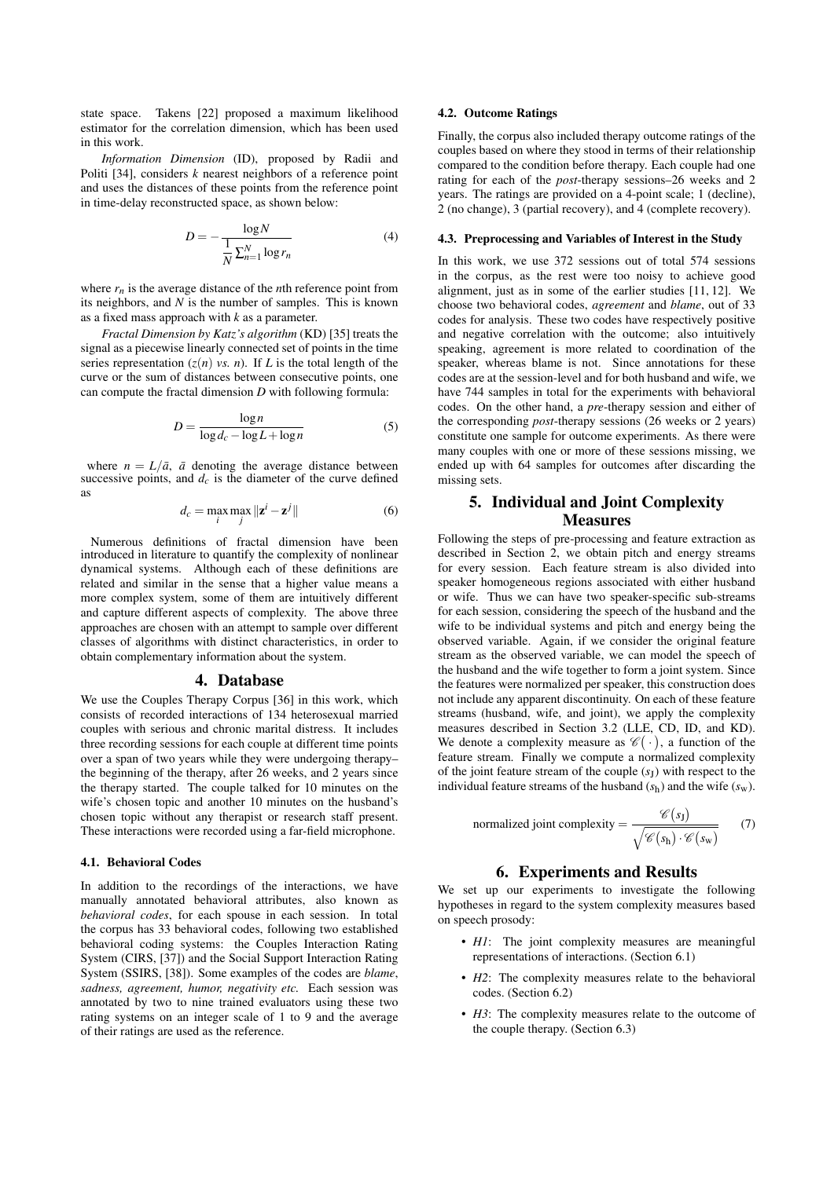state space. Takens [22] proposed a maximum likelihood estimator for the correlation dimension, which has been used in this work.

*Information Dimension* (ID), proposed by Radii and Politi [34], considers *k* nearest neighbors of a reference point and uses the distances of these points from the reference point in time-delay reconstructed space, as shown below:

$$
D = -\frac{\log N}{\frac{1}{N} \sum_{n=1}^{N} \log r_n}
$$
 (4)

where  $r_n$  is the average distance of the *n*th reference point from its neighbors, and *N* is the number of samples. This is known as a fixed mass approach with *k* as a parameter.

*Fractal Dimension by Katz's algorithm* (KD) [35] treats the signal as a piecewise linearly connected set of points in the time series representation  $(z(n)$  *vs. n*). If *L* is the total length of the curve or the sum of distances between consecutive points, one can compute the fractal dimension *D* with following formula:

$$
D = \frac{\log n}{\log d_c - \log L + \log n} \tag{5}
$$

where  $n = L/\bar{a}$ ,  $\bar{a}$  denoting the average distance between successive points, and  $d_c$  is the diameter of the curve defined as

$$
d_c = \max_{i} \max_{j} \|\mathbf{z}^i - \mathbf{z}^j\|
$$
 (6)

Numerous definitions of fractal dimension have been introduced in literature to quantify the complexity of nonlinear dynamical systems. Although each of these definitions are related and similar in the sense that a higher value means a more complex system, some of them are intuitively different and capture different aspects of complexity. The above three approaches are chosen with an attempt to sample over different classes of algorithms with distinct characteristics, in order to obtain complementary information about the system.

#### 4. Database

We use the Couples Therapy Corpus [36] in this work, which consists of recorded interactions of 134 heterosexual married couples with serious and chronic marital distress. It includes three recording sessions for each couple at different time points over a span of two years while they were undergoing therapy– the beginning of the therapy, after 26 weeks, and 2 years since the therapy started. The couple talked for 10 minutes on the wife's chosen topic and another 10 minutes on the husband's chosen topic without any therapist or research staff present. These interactions were recorded using a far-field microphone.

#### 4.1. Behavioral Codes

In addition to the recordings of the interactions, we have manually annotated behavioral attributes, also known as *behavioral codes*, for each spouse in each session. In total the corpus has 33 behavioral codes, following two established behavioral coding systems: the Couples Interaction Rating System (CIRS, [37]) and the Social Support Interaction Rating System (SSIRS, [38]). Some examples of the codes are *blame*, *sadness, agreement, humor, negativity etc.* Each session was annotated by two to nine trained evaluators using these two rating systems on an integer scale of 1 to 9 and the average of their ratings are used as the reference.

### 4.2. Outcome Ratings

Finally, the corpus also included therapy outcome ratings of the couples based on where they stood in terms of their relationship compared to the condition before therapy. Each couple had one rating for each of the *post*-therapy sessions–26 weeks and 2 years. The ratings are provided on a 4-point scale; 1 (decline), 2 (no change), 3 (partial recovery), and 4 (complete recovery).

#### 4.3. Preprocessing and Variables of Interest in the Study

In this work, we use 372 sessions out of total 574 sessions in the corpus, as the rest were too noisy to achieve good alignment, just as in some of the earlier studies [11, 12]. We choose two behavioral codes, *agreement* and *blame*, out of 33 codes for analysis. These two codes have respectively positive and negative correlation with the outcome; also intuitively speaking, agreement is more related to coordination of the speaker, whereas blame is not. Since annotations for these codes are at the session-level and for both husband and wife, we have 744 samples in total for the experiments with behavioral codes. On the other hand, a *pre*-therapy session and either of the corresponding *post*-therapy sessions (26 weeks or 2 years) constitute one sample for outcome experiments. As there were many couples with one or more of these sessions missing, we ended up with 64 samples for outcomes after discarding the missing sets.

# 5. Individual and Joint Complexity Measures

Following the steps of pre-processing and feature extraction as described in Section 2, we obtain pitch and energy streams for every session. Each feature stream is also divided into speaker homogeneous regions associated with either husband or wife. Thus we can have two speaker-specific sub-streams for each session, considering the speech of the husband and the wife to be individual systems and pitch and energy being the observed variable. Again, if we consider the original feature stream as the observed variable, we can model the speech of the husband and the wife together to form a joint system. Since the features were normalized per speaker, this construction does not include any apparent discontinuity. On each of these feature streams (husband, wife, and joint), we apply the complexity measures described in Section 3.2 (LLE, CD, ID, and KD). We denote a complexity measure as  $\mathscr{C}(\cdot)$ , a function of the feature stream. Finally we compute a normalized complexity of the joint feature stream of the couple (*s*<sup>J</sup> ) with respect to the individual feature streams of the husband  $(s_h)$  and the wife  $(s_w)$ .

normalized joint complexity = 
$$
\frac{\mathscr{C}(s_1)}{\sqrt{\mathscr{C}(s_h) \cdot \mathscr{C}(s_w)}}
$$
 (7)

### 6. Experiments and Results

We set up our experiments to investigate the following hypotheses in regard to the system complexity measures based on speech prosody:

- *H1*: The joint complexity measures are meaningful representations of interactions. (Section 6.1)
- *H2*: The complexity measures relate to the behavioral codes. (Section 6.2)
- *H3*: The complexity measures relate to the outcome of the couple therapy. (Section 6.3)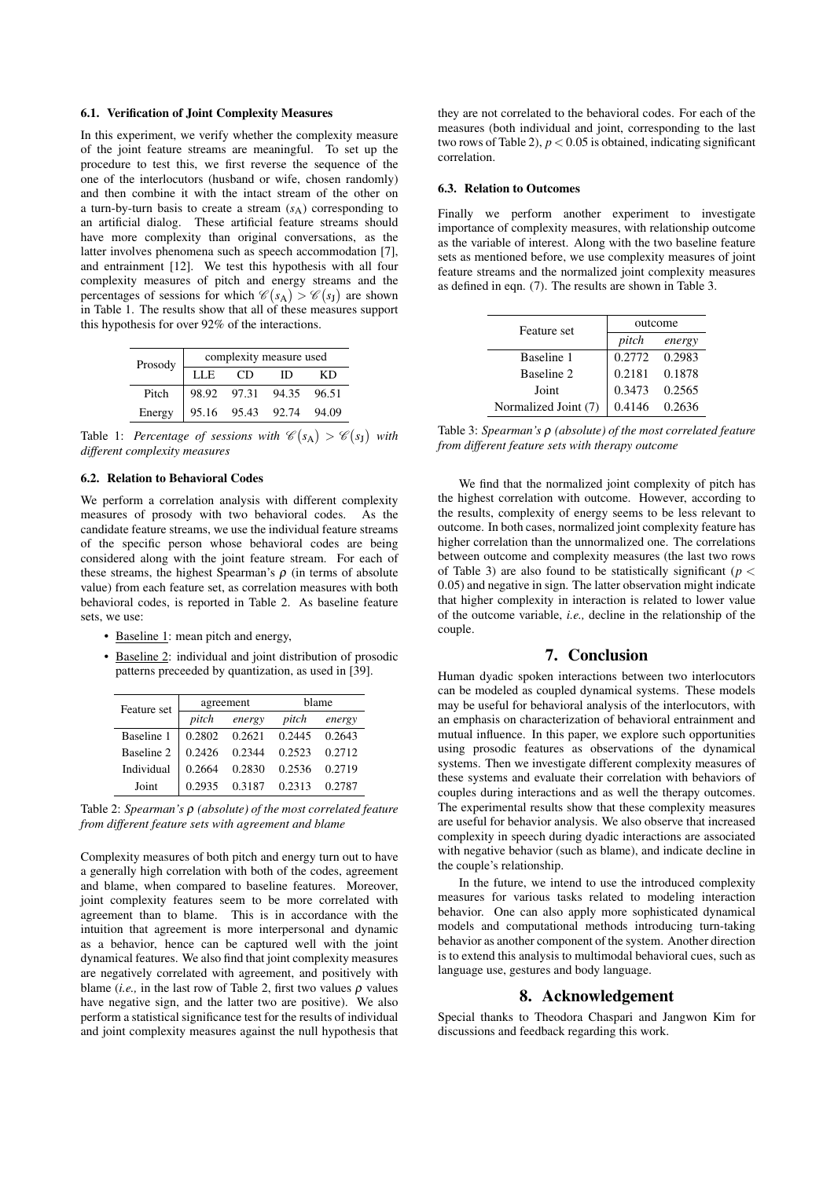#### 6.1. Verification of Joint Complexity Measures

In this experiment, we verify whether the complexity measure of the joint feature streams are meaningful. To set up the procedure to test this, we first reverse the sequence of the one of the interlocutors (husband or wife, chosen randomly) and then combine it with the intact stream of the other on a turn-by-turn basis to create a stream  $(s_A)$  corresponding to an artificial dialog. These artificial feature streams should have more complexity than original conversations, as the latter involves phenomena such as speech accommodation [7], and entrainment [12]. We test this hypothesis with all four complexity measures of pitch and energy streams and the percentages of sessions for which  $\mathscr{C}(s_A) > \mathscr{C}(s_J)$  are shown in Table 1. The results show that all of these measures support this hypothesis for over 92% of the interactions.

| Prosody | complexity measure used |             |       |       |  |
|---------|-------------------------|-------------|-------|-------|--|
|         | LLE                     | CD          | т     | КĐ    |  |
| Pitch   |                         | 98.92 97.31 | 94.35 | 96.51 |  |
| Energy  |                         | 95.16 95.43 | 92.74 | 94.09 |  |

Table 1: *Percentage of sessions with*  $\mathscr{C}(s_A) > \mathscr{C}(s_J)$  with *different complexity measures*

#### 6.2. Relation to Behavioral Codes

We perform a correlation analysis with different complexity measures of prosody with two behavioral codes. As the candidate feature streams, we use the individual feature streams of the specific person whose behavioral codes are being considered along with the joint feature stream. For each of these streams, the highest Spearman's  $\rho$  (in terms of absolute value) from each feature set, as correlation measures with both behavioral codes, is reported in Table 2. As baseline feature sets, we use:

- Baseline 1: mean pitch and energy,
- Baseline 2: individual and joint distribution of prosodic patterns preceeded by quantization, as used in [39].

| Feature set | agreement |        | hlame  |        |
|-------------|-----------|--------|--------|--------|
|             | pitch     | energy | pitch  | energy |
| Baseline 1  | 0.2802    | 0.2621 | 0.2445 | 0.2643 |
| Baseline 2  | 0.2426    | 0.2344 | 0.2523 | 0.2712 |
| Individual  | 0.2664    | 0.2830 | 0.2536 | 0.2719 |
| Joint       | 0.2935    | 0.3187 | 0.2313 | 0.2787 |

Table 2: *Spearman's* ρ *(absolute) of the most correlated feature from different feature sets with agreement and blame*

Complexity measures of both pitch and energy turn out to have a generally high correlation with both of the codes, agreement and blame, when compared to baseline features. Moreover, joint complexity features seem to be more correlated with agreement than to blame. This is in accordance with the intuition that agreement is more interpersonal and dynamic as a behavior, hence can be captured well with the joint dynamical features. We also find that joint complexity measures are negatively correlated with agreement, and positively with blame (*i.e.*, in the last row of Table 2, first two values  $\rho$  values have negative sign, and the latter two are positive). We also perform a statistical significance test for the results of individual and joint complexity measures against the null hypothesis that

they are not correlated to the behavioral codes. For each of the measures (both individual and joint, corresponding to the last two rows of Table 2),  $p < 0.05$  is obtained, indicating significant correlation.

#### 6.3. Relation to Outcomes

Finally we perform another experiment to investigate importance of complexity measures, with relationship outcome as the variable of interest. Along with the two baseline feature sets as mentioned before, we use complexity measures of joint feature streams and the normalized joint complexity measures as defined in eqn. (7). The results are shown in Table 3.

| Feature set          | outcome |        |  |
|----------------------|---------|--------|--|
|                      | pitch   | energy |  |
| Baseline 1           | 0.2772  | 0.2983 |  |
| Baseline 2           | 0.2181  | 0.1878 |  |
| Joint                | 0.3473  | 0.2565 |  |
| Normalized Joint (7) | 0.4146  | 0.2636 |  |

Table 3: *Spearman's* ρ *(absolute) of the most correlated feature from different feature sets with therapy outcome*

We find that the normalized joint complexity of pitch has the highest correlation with outcome. However, according to the results, complexity of energy seems to be less relevant to outcome. In both cases, normalized joint complexity feature has higher correlation than the unnormalized one. The correlations between outcome and complexity measures (the last two rows of Table 3) are also found to be statistically significant ( $p <$ 0.05) and negative in sign. The latter observation might indicate that higher complexity in interaction is related to lower value of the outcome variable, *i.e.,* decline in the relationship of the couple.

### 7. Conclusion

Human dyadic spoken interactions between two interlocutors can be modeled as coupled dynamical systems. These models may be useful for behavioral analysis of the interlocutors, with an emphasis on characterization of behavioral entrainment and mutual influence. In this paper, we explore such opportunities using prosodic features as observations of the dynamical systems. Then we investigate different complexity measures of these systems and evaluate their correlation with behaviors of couples during interactions and as well the therapy outcomes. The experimental results show that these complexity measures are useful for behavior analysis. We also observe that increased complexity in speech during dyadic interactions are associated with negative behavior (such as blame), and indicate decline in the couple's relationship.

In the future, we intend to use the introduced complexity measures for various tasks related to modeling interaction behavior. One can also apply more sophisticated dynamical models and computational methods introducing turn-taking behavior as another component of the system. Another direction is to extend this analysis to multimodal behavioral cues, such as language use, gestures and body language.

#### 8. Acknowledgement

Special thanks to Theodora Chaspari and Jangwon Kim for discussions and feedback regarding this work.